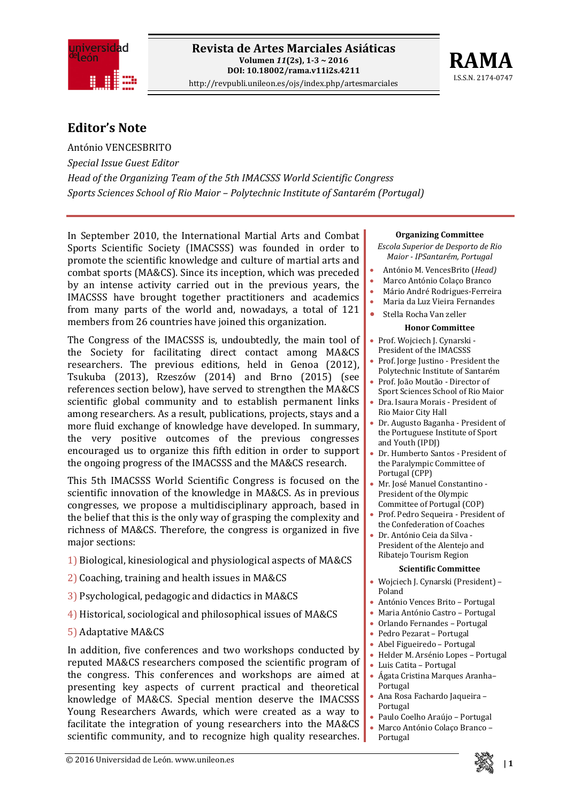



## **Editor's Note**

António VENCESBRITO *Special Issue Guest Editor Head of the Organizing Team of the 5th IMACSSS World Scientific Congress Sports Sciences School of Rio Maior – Polytechnic Institute of Santarém (Portugal)*

In September 2010, the International Martial Arts and Combat Sports Scientific Society (IMACSSS) was founded in order to promote the scientific knowledge and culture of martial arts and combat sports (MA&CS). Since its inception, which was preceded by an intense activity carried out in the previous years, the IMACSSS have brought together practitioners and academics from many parts of the world and, nowadays, a total of 121 members from 26 countries have joined this organization.

The Congress of the IMACSSS is, undoubtedly, the main tool of the Society for facilitating direct contact among MA&CS researchers. The previous editions, held in Genoa (2012), Tsukuba (2013), Rzeszów (2014) and Brno (2015) (see references section below), have served to strengthen the MA&CS scientific global community and to establish permanent links among researchers. As a result, publications, projects, stays and a more fluid exchange of knowledge have developed. In summary, the very positive outcomes of the previous congresses encouraged us to organize this fifth edition in order to support the ongoing progress of the IMACSSS and the MA&CS research.

This 5th IMACSSS World Scientific Congress is focused on the scientific innovation of the knowledge in MA&CS. As in previous congresses, we propose a multidisciplinary approach, based in the belief that this is the only way of grasping the complexity and richness of MA&CS. Therefore, the congress is organized in five major sections:

- 1) Biological, kinesiological and physiological aspects of MA&CS
- 2) Coaching, training and health issues in MA&CS
- 3) Psychological, pedagogic and didactics in MA&CS
- 4) Historical, sociological and philosophical issues of MA&CS
- 5) Adaptative MA&CS

In addition, five conferences and two workshops conducted by reputed MA&CS researchers composed the scientific program of the congress. This conferences and workshops are aimed at presenting key aspects of current practical and theoretical knowledge of MA&CS. Special mention deserve the IMACSSS Young Researchers Awards, which were created as a way to facilitate the integration of young researchers into the MA&CS scientific community, and to recognize high quality researches.

### **Organizing Committee**

- *Escola Superior de Desporto de Rio Maior IPSantarém, Portugal*
- António M. VencesBrito (*Head)*
- Marco António Colaço Branco
- Mário André Rodrigues‐Ferreira
- Maria da Luz Vieira Fernandes
- Stella Rocha Van zeller

### **Honor Committee**

- Prof. Wojciech J. Cynarski ‐ President of the IMACSSS
- Prof. Jorge Justino ‐ President the Polytechnic Institute of Santarém
- Prof. João Moutão ‐ Director of Sport Sciences School of Rio Maior • Dra. Isaura Morais ‐ President of
- Rio Maior City Hall
- Dr. Augusto Baganha ‐ President of the Portuguese Institute of Sport and Youth (IPDJ)
- Dr. Humberto Santos ‐ President of the Paralympic Committee of Portugal (CPP)
- Mr. José Manuel Constantino ‐ President of the Olympic Committee of Portugal (COP)
- Prof. Pedro Sequeira ‐ President of the Confederation of Coaches
- Dr. António Ceia da Silva ‐ President of the Alentejo and Ribatejo Tourism Region

### **Scientific Committee**

- Wojciech J. Cynarski (President) Poland
- António Vences Brito Portugal
- Maria António Castro Portugal
- Orlando Fernandes Portugal
- Pedro Pezarat Portugal
- Abel Figueiredo Portugal
- Helder M. Arsénio Lopes Portugal
- Luis Catita Portugal
- Ágata Cristina Marques Aranha– Portugal
- Ana Rosa Fachardo Jaqueira Portugal
- Paulo Coelho Araújo Portugal
- Marco António Colaço Branco –
- Portugal

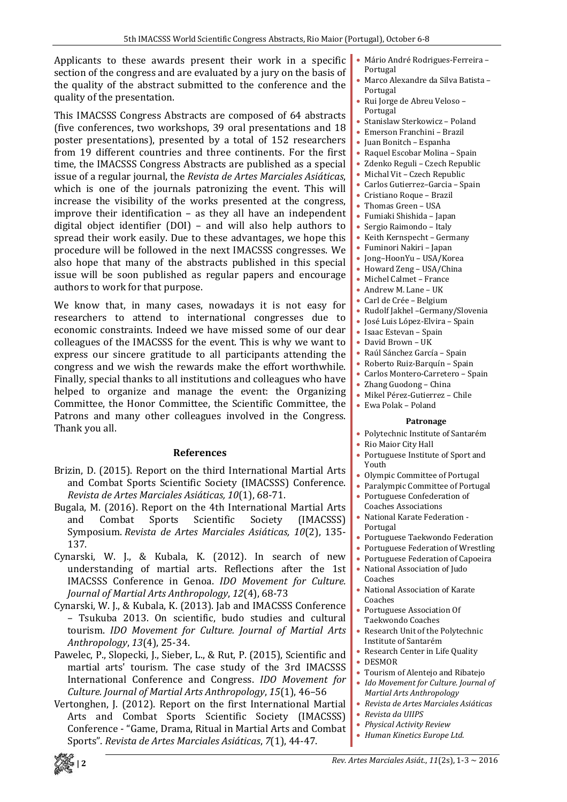Applicants to these awards present their work in a specific section of the congress and are evaluated by a jury on the basis of the quality of the abstract submitted to the conference and the quality of the presentation.

This IMACSSS Congress Abstracts are composed of 64 abstracts (five conferences, two workshops, 39 oral presentations and 18 poster presentations), presented by a total of 152 researchers from 19 different countries and three continents. For the first time, the IMACSSS Congress Abstracts are published as a special issue of a regular journal, the *Revista de Artes Marciales Asiáticas*, which is one of the journals patronizing the event. This will increase the visibility of the works presented at the congress, improve their identification – as they all have an independent digital object identifier (DOI) – and will also help authors to spread their work easily. Due to these advantages, we hope this procedure will be followed in the next IMACSSS congresses. We also hope that many of the abstracts published in this special issue will be soon published as regular papers and encourage authors to work for that purpose.

We know that, in many cases, nowadays it is not easy for researchers to attend to international congresses due to economic constraints. Indeed we have missed some of our dear colleagues of the IMACSSS for the event. This is why we want to express our sincere gratitude to all participants attending the congress and we wish the rewards make the effort worthwhile. Finally, special thanks to all institutions and colleagues who have helped to organize and manage the event: the Organizing Committee, the Honor Committee, the Scientific Committee, the Patrons and many other colleagues involved in the Congress. Thank you all.

## **References**

- Brizin, D. (2015). Report on the third International Martial Arts and Combat Sports Scientific Society (IMACSSS) Conference. *Revista de Artes Marciales Asiáticas, 10*(1), 68‐71.
- Bugala, M. (2016). Report on the 4th International Martial Arts and Combat Sports Scientific Society (IMACSSS) Symposium. *Revista de Artes Marciales Asiáticas, 10*(2), 135‐ 137.
- Cynarski, W. J., & Kubala, K. (2012). In search of new understanding of martial arts. Reflections after the 1st IMACSSS Conference in Genoa. *IDO Movement for Culture. Journal of Martial Arts Anthropology*, *12*(4), 68‐73
- Cynarski, W. J., & Kubala, K. (2013). Jab and IMACSSS Conference – Tsukuba 2013. On scientific, budo studies and cultural tourism. *IDO Movement for Culture. Journal of Martial Arts Anthropology*, *13*(4), 25‐34.
- Pawelec, P., Slopecki, J., Sieber, L., & Rut, P. (2015), Scientific and martial arts' tourism. The case study of the 3rd IMACSSS International Conference and Congress. *IDO Movement for Culture. Journal of Martial Arts Anthropology*, *15*(1), 46–56
- Vertonghen, J. (2012). Report on the first International Martial Arts and Combat Sports Scientific Society (IMACSSS) Conference ‐ "Game, Drama, Ritual in Martial Arts and Combat Sports". *Revista de Artes Marciales Asiáticas*, *7*(1), 44‐47.
- Mário André Rodrigues‐Ferreira Portugal
- Marco Alexandre da Silva Batista Portugal
- Rui Jorge de Abreu Veloso Portugal
- Stanislaw Sterkowicz Poland
- Emerson Franchini Brazil
- Juan Bonitch Espanha
- Raquel Escobar Molina Spain
- Zdenko Reguli Czech Republic
- Michal Vit Czech Republic
- Carlos Gutierrez–Garcia Spain
- Cristiano Roque Brazil
- Thomas Green USA
- Fumiaki Shishida Japan
- Sergio Raimondo Italy • Keith Kernspecht – Germany
- Fuminori Nakiri Japan
- Jong–HoonYu USA/Korea
- Howard Zeng USA/China
- Michel Calmet France
- Andrew M. Lane UK
- Carl de Crée Belgium
- Rudolf Jakhel –Germany/Slovenia
- José Luis López‐Elvira Spain
- Isaac Estevan Spain
- David Brown UK
- Raúl Sánchez García Spain
- Roberto Ruiz‐Barquín Spain
- Carlos Montero‐Carretero Spain
- Zhang Guodong China
- Mikel Pérez‐Gutierrez Chile
- Ewa Polak Poland

### **Patronage**

- Polytechnic Institute of Santarém
- Rio Maior City Hall
- Portuguese Institute of Sport and Youth
- Olympic Committee of Portugal
- Paralympic Committee of Portugal
- Portuguese Confederation of Coaches Associations
- National Karate Federation ‐ Portugal
- Portuguese Taekwondo Federation
- Portuguese Federation of Wrestling
- Portuguese Federation of Capoeira
- National Association of Judo Coaches
- National Association of Karate Coaches
- Portuguese Association Of Taekwondo Coaches
- Research Unit of the Polytechnic Institute of Santarém
- Research Center in Life Quality
- DESMOR
- Tourism of Alentejo and Ribatejo
- *Ido Movement for Culture. Journal of Martial Arts Anthropology*
- *Revista de Artes Marciales Asiáticas*
- *Revista da UIIPS*
- *Physical Activity Review*
- *Human Kinetics Europe Ltd*.